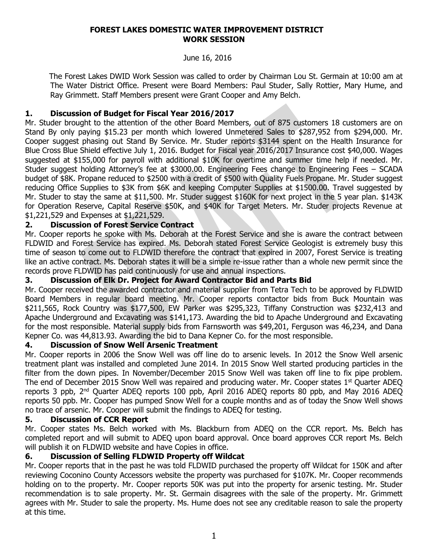#### **FOREST LAKES DOMESTIC WATER IMPROVEMENT DISTRICT WORK SESSION**

#### June 16, 2016

 The Forest Lakes DWID Work Session was called to order by Chairman Lou St. Germain at 10:00 am at The Water District Office. Present were Board Members: Paul Studer, Sally Rottier, Mary Hume, and Ray Grimmett. Staff Members present were Grant Cooper and Amy Belch.

# **1. Discussion of Budget for Fiscal Year 2016/2017**

Mr. Studer brought to the attention of the other Board Members, out of 875 customers 18 customers are on Stand By only paying \$15.23 per month which lowered Unmetered Sales to \$287,952 from \$294,000. Mr. Cooper suggest phasing out Stand By Service. Mr. Studer reports \$3144 spent on the Health Insurance for Blue Cross Blue Shield effective July 1, 2016. Budget for Fiscal year 2016/2017 Insurance cost \$40,000. Wages suggested at \$155,000 for payroll with additional \$10K for overtime and summer time help if needed. Mr. Studer suggest holding Attorney's fee at \$3000.00. Engineering Fees change to Engineering Fees – SCADA budget of \$8K. Propane reduced to \$2500 with a credit of \$500 with Quality Fuels Propane. Mr. Studer suggest reducing Office Supplies to \$3K from \$6K and keeping Computer Supplies at \$1500.00. Travel suggested by Mr. Studer to stay the same at \$11,500. Mr. Studer suggest \$160K for next project in the 5 year plan. \$143K for Operation Reserve, Capital Reserve \$50K, and \$40K for Target Meters. Mr. Studer projects Revenue at \$1,221,529 and Expenses at \$1,221,529.

# **2. Discussion of Forest Service Contract**

Mr. Cooper reports he spoke with Ms. Deborah at the Forest Service and she is aware the contract between FLDWID and Forest Service has expired. Ms. Deborah stated Forest Service Geologist is extremely busy this time of season to come out to FLDWID therefore the contract that expired in 2007, Forest Service is treating like an active contract. Ms. Deborah states it will be a simple re-issue rather than a whole new permit since the records prove FLDWID has paid continuously for use and annual inspections.

### **3. Discussion of Elk Dr. Project for Award Contractor Bid and Parts Bid**

Mr. Cooper received the awarded contractor and material supplier from Tetra Tech to be approved by FLDWID Board Members in regular board meeting. Mr. Cooper reports contactor bids from Buck Mountain was \$211,565, Rock Country was \$177,500, EW Parker was \$295,323, Tiffany Construction was \$232,413 and Apache Underground and Excavating was \$141,173. Awarding the bid to Apache Underground and Excavating for the most responsible. Material supply bids from Farnsworth was \$49,201, Ferguson was 46,234, and Dana Kepner Co. was 44,813.93. Awarding the bid to Dana Kepner Co. for the most responsible.

### **4. Discussion of Snow Well Arsenic Treatment**

Mr. Cooper reports in 2006 the Snow Well was off line do to arsenic levels. In 2012 the Snow Well arsenic treatment plant was installed and completed June 2014. In 2015 Snow Well started producing particles in the filter from the down pipes. In November/December 2015 Snow Well was taken off line to fix pipe problem. The end of December 2015 Snow Well was repaired and producing water. Mr. Cooper states 1<sup>st</sup> Ouarter ADEO reports 3 ppb, 2<sup>nd</sup> Quarter ADEQ reports 100 ppb, April 2016 ADEQ reports 80 ppb, and May 2016 ADEQ reports 50 ppb. Mr. Cooper has pumped Snow Well for a couple months and as of today the Snow Well shows no trace of arsenic. Mr. Cooper will submit the findings to ADEQ for testing.

### **5. Discussion of CCR Report**

Mr. Cooper states Ms. Belch worked with Ms. Blackburn from ADEQ on the CCR report. Ms. Belch has completed report and will submit to ADEQ upon board approval. Once board approves CCR report Ms. Belch will publish it on FLDWID website and have Copies in office.

### **6. Discussion of Selling FLDWID Property off Wildcat**

Mr. Cooper reports that in the past he was told FLDWID purchased the property off Wildcat for 150K and after reviewing Coconino County Accessors website the property was purchased for \$107K. Mr. Cooper recommends holding on to the property. Mr. Cooper reports 50K was put into the property for arsenic testing. Mr. Studer recommendation is to sale property. Mr. St. Germain disagrees with the sale of the property. Mr. Grimmett agrees with Mr. Studer to sale the property. Ms. Hume does not see any creditable reason to sale the property at this time.